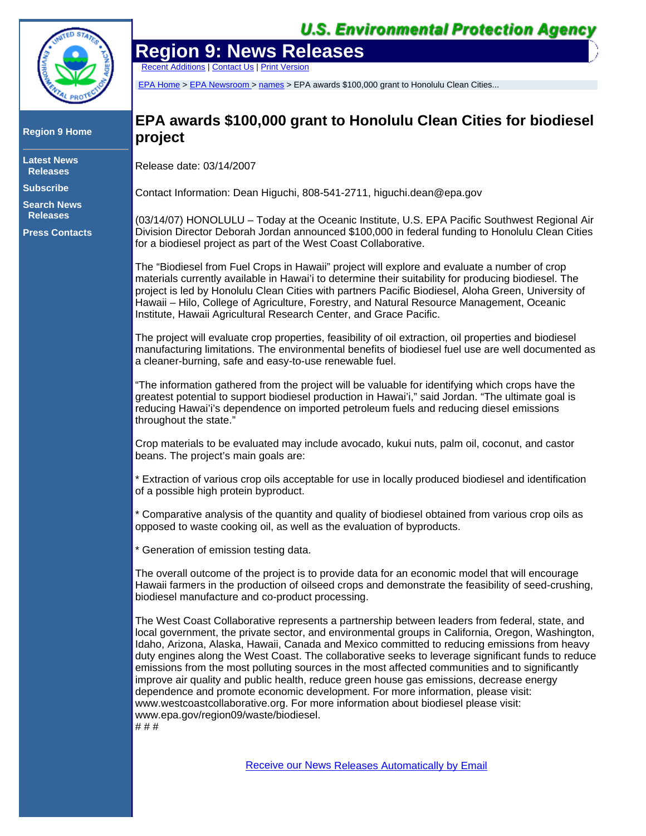

## **Region 9 Home**

**Latest News Releases**

**Subscribe**

**Search News Releases**

**Press Contacts**

## **U.S. Environmental Protection Agency**

## **Region 9: News Releases**

Recent Additions | Contact Us | Print Version

EPA Home > EPA Newsroom > names > EPA awards \$100,000 grant to Honolulu Clean Cities...

## **EPA awards \$100,000 grant to Honolulu Clean Cities for biodiesel project**

Release date: 03/14/2007

Contact Information: Dean Higuchi, 808-541-2711, higuchi.dean@epa.gov

(03/14/07) HONOLULU – Today at the Oceanic Institute, U.S. EPA Pacific Southwest Regional Air Division Director Deborah Jordan announced \$100,000 in federal funding to Honolulu Clean Cities for a biodiesel project as part of the West Coast Collaborative.

The "Biodiesel from Fuel Crops in Hawaii" project will explore and evaluate a number of crop materials currently available in Hawai'i to determine their suitability for producing biodiesel. The project is led by Honolulu Clean Cities with partners Pacific Biodiesel, Aloha Green, University of Hawaii – Hilo, College of Agriculture, Forestry, and Natural Resource Management, Oceanic Institute, Hawaii Agricultural Research Center, and Grace Pacific.

The project will evaluate crop properties, feasibility of oil extraction, oil properties and biodiesel manufacturing limitations. The environmental benefits of biodiesel fuel use are well documented as a cleaner-burning, safe and easy-to-use renewable fuel.

"The information gathered from the project will be valuable for identifying which crops have the greatest potential to support biodiesel production in Hawai'i," said Jordan. "The ultimate goal is reducing Hawai'i's dependence on imported petroleum fuels and reducing diesel emissions throughout the state."

Crop materials to be evaluated may include avocado, kukui nuts, palm oil, coconut, and castor beans. The project's main goals are:

\* Extraction of various crop oils acceptable for use in locally produced biodiesel and identification of a possible high protein byproduct.

\* Comparative analysis of the quantity and quality of biodiesel obtained from various crop oils as opposed to waste cooking oil, as well as the evaluation of byproducts.

\* Generation of emission testing data.

The overall outcome of the project is to provide data for an economic model that will encourage Hawaii farmers in the production of oilseed crops and demonstrate the feasibility of seed-crushing, biodiesel manufacture and co-product processing.

The West Coast Collaborative represents a partnership between leaders from federal, state, and local government, the private sector, and environmental groups in California, Oregon, Washington, Idaho, Arizona, Alaska, Hawaii, Canada and Mexico committed to reducing emissions from heavy duty engines along the West Coast. The collaborative seeks to leverage significant funds to reduce emissions from the most polluting sources in the most affected communities and to significantly improve air quality and public health, reduce green house gas emissions, decrease energy dependence and promote economic development. For more information, please visit: www.westcoastcollaborative.org. For more information about biodiesel please visit: www.epa.gov/region09/waste/biodiesel. # # #